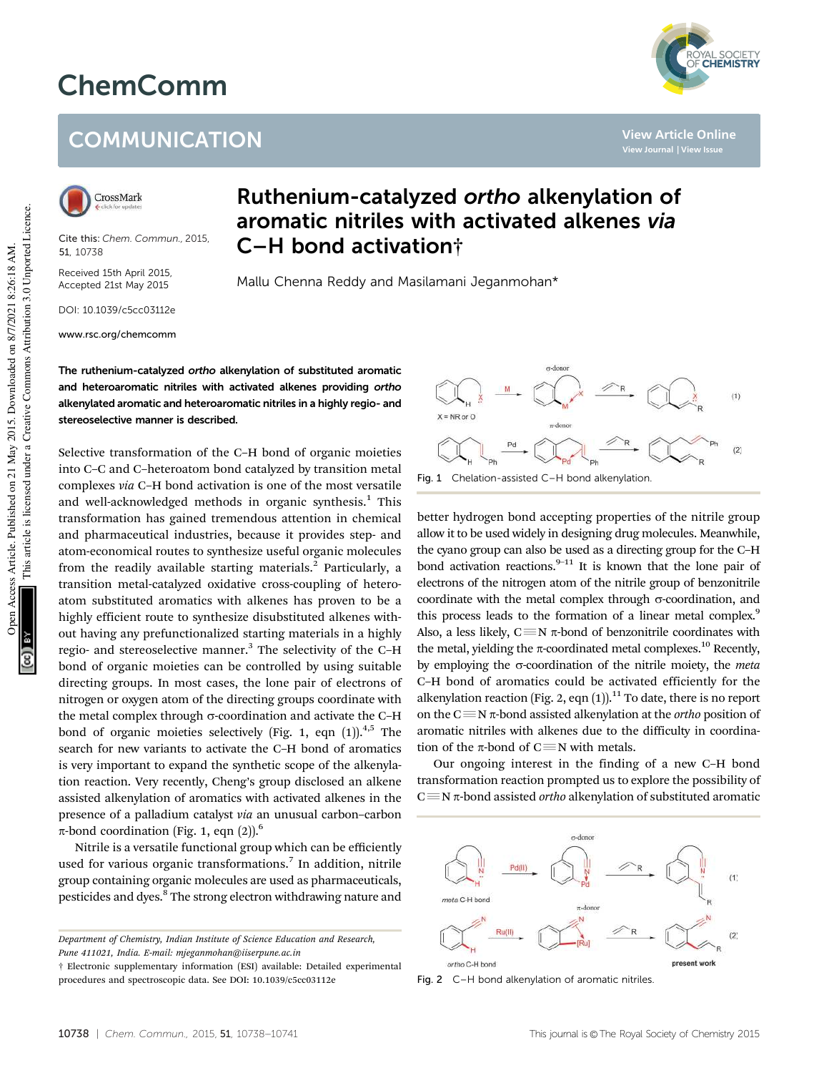## ChemComm

## **COMMUNICATION**



Cite this: *Chem. Commun.,* 2015, 51, 10738

Received 15th April 2015, Accepted 21st May 2015

DOI: 10.1039/c5cc03112e

www.rsc.org/chemcomm

## Ruthenium-catalyzed ortho alkenylation of aromatic nitriles with activated alkenes via C–H bond activation†

Mallu Chenna Reddy and Masilamani Jeganmohan\*

The ruthenium-catalyzed ortho alkenylation of substituted aromatic and heteroaromatic nitriles with activated alkenes providing ortho alkenylated aromatic and heteroaromatic nitriles in a highly regio- and stereoselective manner is described.

Selective transformation of the C–H bond of organic moieties into C–C and C–heteroatom bond catalyzed by transition metal complexes *via* C–H bond activation is one of the most versatile and well-acknowledged methods in organic synthesis.<sup>1</sup> This transformation has gained tremendous attention in chemical and pharmaceutical industries, because it provides step- and atom-economical routes to synthesize useful organic molecules from the readily available starting materials.<sup>2</sup> Particularly, a transition metal-catalyzed oxidative cross-coupling of heteroatom substituted aromatics with alkenes has proven to be a highly efficient route to synthesize disubstituted alkenes without having any prefunctionalized starting materials in a highly regio- and stereoselective manner.<sup>3</sup> The selectivity of the C-H bond of organic moieties can be controlled by using suitable directing groups. In most cases, the lone pair of electrons of nitrogen or oxygen atom of the directing groups coordinate with the metal complex through  $\sigma$ -coordination and activate the C-H bond of organic moieties selectively (Fig. 1, eqn  $(1)$ ).<sup>4,5</sup> The search for new variants to activate the C–H bond of aromatics is very important to expand the synthetic scope of the alkenylation reaction. Very recently, Cheng's group disclosed an alkene assisted alkenylation of aromatics with activated alkenes in the presence of a palladium catalyst *via* an unusual carbon–carbon  $\pi$ -bond coordination (Fig. 1, eqn (2)).<sup>6</sup>

Nitrile is a versatile functional group which can be efficiently used for various organic transformations.<sup>7</sup> In addition, nitrile group containing organic molecules are used as pharmaceuticals, pesticides and dyes.<sup>8</sup> The strong electron withdrawing nature and

*Department of Chemistry, Indian Institute of Science Education and Research, Pune 411021, India. E-mail: mjeganmohan@iiserpune.ac.in*

† Electronic supplementary information (ESI) available: Detailed experimental procedures and spectroscopic data. See DOI: 10.1039/c5cc03112e





better hydrogen bond accepting properties of the nitrile group allow it to be used widely in designing drug molecules. Meanwhile, the cyano group can also be used as a directing group for the C–H bond activation reactions. $9-11$  It is known that the lone pair of electrons of the nitrogen atom of the nitrile group of benzonitrile coordinate with the metal complex through  $\sigma$ -coordination, and this process leads to the formation of a linear metal complex.<sup>9</sup> Also, a less likely,  $C \equiv N \pi$ -bond of benzonitrile coordinates with the metal, yielding the  $\pi$ -coordinated metal complexes.<sup>10</sup> Recently, by employing the  $\sigma$ -coordination of the nitrile moiety, the *meta* C–H bond of aromatics could be activated efficiently for the alkenylation reaction (Fig. 2, eqn  $(1)$ ).<sup>11</sup> To date, there is no report on the  $C \equiv N \pi$ -bond assisted alkenylation at the *ortho* position of aromatic nitriles with alkenes due to the difficulty in coordination of the  $\pi$ -bond of C $\equiv$ N with metals.

Our ongoing interest in the finding of a new C–H bond transformation reaction prompted us to explore the possibility of  $C \equiv N \pi$ -bond assisted *ortho* alkenylation of substituted aromatic



Fig. 2 C–H bond alkenylation of aromatic nitriles.



**View Article Online**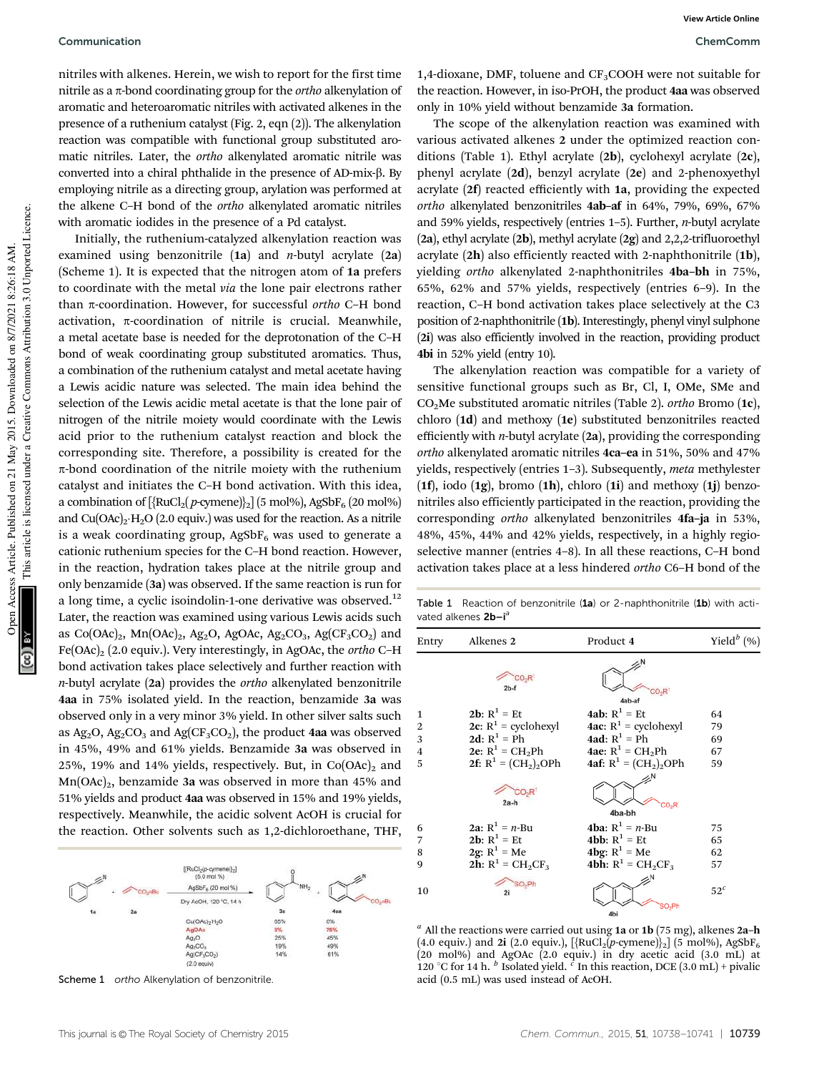nitriles with alkenes. Herein, we wish to report for the first time nitrile as a  $\pi$ -bond coordinating group for the *ortho* alkenylation of aromatic and heteroaromatic nitriles with activated alkenes in the presence of a ruthenium catalyst (Fig. 2, eqn (2)). The alkenylation reaction was compatible with functional group substituted aromatic nitriles. Later, the *ortho* alkenylated aromatic nitrile was converted into a chiral phthalide in the presence of AD-mix- $\beta$ . By employing nitrile as a directing group, arylation was performed at the alkene C–H bond of the *ortho* alkenylated aromatic nitriles with aromatic iodides in the presence of a Pd catalyst.

Initially, the ruthenium-catalyzed alkenylation reaction was examined using benzonitrile (1a) and *n*-butyl acrylate (2a) (Scheme 1). It is expected that the nitrogen atom of 1a prefers to coordinate with the metal *via* the lone pair electrons rather than π-coordination. However, for successful *ortho* C–H bond activation,  $\pi$ -coordination of nitrile is crucial. Meanwhile, a metal acetate base is needed for the deprotonation of the C–H bond of weak coordinating group substituted aromatics. Thus, a combination of the ruthenium catalyst and metal acetate having a Lewis acidic nature was selected. The main idea behind the selection of the Lewis acidic metal acetate is that the lone pair of nitrogen of the nitrile moiety would coordinate with the Lewis acid prior to the ruthenium catalyst reaction and block the corresponding site. Therefore, a possibility is created for the  $\pi$ -bond coordination of the nitrile moiety with the ruthenium catalyst and initiates the C–H bond activation. With this idea, a combination of  $[\{RuCl_2(p\text{-symene})\}_2]$  (5 mol%), AgSbF<sub>6</sub> (20 mol%) and  $Cu(OAc)<sub>2</sub>·H<sub>2</sub>O$  (2.0 equiv.) was used for the reaction. As a nitrile is a weak coordinating group,  $AgSbF_6$  was used to generate a cationic ruthenium species for the C–H bond reaction. However, in the reaction, hydration takes place at the nitrile group and only benzamide (3a) was observed. If the same reaction is run for a long time, a cyclic isoindolin-1-one derivative was observed. $12$ Later, the reaction was examined using various Lewis acids such as  $Co(OAc)<sub>2</sub>$ , Mn $(OAc)<sub>2</sub>$ , Ag<sub>2</sub>O, AgOAc, Ag<sub>2</sub>CO<sub>3</sub>, Ag $(CF<sub>3</sub>CO<sub>2</sub>)$  and Fe(OAc)<sup>2</sup> (2.0 equiv.). Very interestingly, in AgOAc, the *ortho* C–H bond activation takes place selectively and further reaction with *n*-butyl acrylate (2a) provides the *ortho* alkenylated benzonitrile 4aa in 75% isolated yield. In the reaction, benzamide 3a was observed only in a very minor 3% yield. In other silver salts such as  $Ag_2O$ ,  $Ag_2CO_3$  and  $Ag(CF_3CO_2)$ , the product 4aa was observed in 45%, 49% and 61% yields. Benzamide 3a was observed in 25%, 19% and 14% yields, respectively. But, in  $Co(OAc)_2$  and  $Mn(OAc)<sub>2</sub>$ , benzamide 3a was observed in more than 45% and 51% yields and product 4aa was observed in 15% and 19% yields, respectively. Meanwhile, the acidic solvent AcOH is crucial for the reaction. Other solvents such as 1,2-dichloroethane, THF,



Scheme 1 ortho Alkenylation of benzonitrile.

1,4-dioxane, DMF, toluene and  $CF<sub>3</sub>COOH$  were not suitable for the reaction. However, in iso-PrOH, the product 4aa was observed only in 10% yield without benzamide 3a formation.

The scope of the alkenylation reaction was examined with various activated alkenes 2 under the optimized reaction conditions (Table 1). Ethyl acrylate (2b), cyclohexyl acrylate (2c), phenyl acrylate (2d), benzyl acrylate (2e) and 2-phenoxyethyl acrylate (2f) reacted efficiently with 1a, providing the expected *ortho* alkenylated benzonitriles 4ab–af in 64%, 79%, 69%, 67% and 59% yields, respectively (entries 1–5). Further, *n*-butyl acrylate (2a), ethyl acrylate (2b), methyl acrylate (2g) and 2,2,2-trifluoroethyl acrylate (2h) also efficiently reacted with 2-naphthonitrile (1b), yielding *ortho* alkenylated 2-naphthonitriles 4ba–bh in 75%, 65%, 62% and 57% yields, respectively (entries 6–9). In the reaction, C–H bond activation takes place selectively at the C3 position of 2-naphthonitrile (1b). Interestingly, phenyl vinyl sulphone (2i) was also efficiently involved in the reaction, providing product 4bi in 52% yield (entry 10).

The alkenylation reaction was compatible for a variety of sensitive functional groups such as Br, Cl, I, OMe, SMe and CO2Me substituted aromatic nitriles (Table 2). *ortho* Bromo (1c), chloro (1d) and methoxy (1e) substituted benzonitriles reacted efficiently with *n*-butyl acrylate (2a), providing the corresponding *ortho* alkenylated aromatic nitriles 4ca–ea in 51%, 50% and 47% yields, respectively (entries 1–3). Subsequently, *meta* methylester  $(1f)$ , iodo  $(1g)$ , bromo  $(1h)$ , chloro  $(1i)$  and methoxy  $(1i)$  benzonitriles also efficiently participated in the reaction, providing the corresponding *ortho* alkenylated benzonitriles 4fa–ja in 53%, 48%, 45%, 44% and 42% yields, respectively, in a highly regioselective manner (entries 4–8). In all these reactions, C–H bond activation takes place at a less hindered *ortho* C6–H bond of the

Table 1 Reaction of benzonitrile (1a) or 2-naphthonitrile (1b) with activated alkenes 2b-i<sup>a</sup>

| Entry          | Alkenes 2                   | Product 4                      | Yield $^{b}$ (%) |
|----------------|-----------------------------|--------------------------------|------------------|
|                | $2b-1$                      | 4ab-af                         |                  |
| $\mathbf{1}$   | <b>2b:</b> $R^1 = Et$       | <b>4ab:</b> $R^1$ = Et         | 64               |
| $\overline{2}$ | 2c: $R^1$ = cyclohexyl      | <b>4ac:</b> $R^1$ = cyclohexyl | 79               |
| 3              | 2d: $R^1 = Ph$              | <b>4ad</b> : $R^1$ = Ph        | 69               |
| 4              | <b>2e:</b> $R^1 = CH_2Ph$   | <b>4ae:</b> $R^1 = CH_2Ph$     | 67               |
| 5              | 2f: $R^1 = (CH_2)_2$ OPh    | 4af: $R^1 = (CH_2)_2$ OPh      | 59               |
|                | 30.8<br>2a-h                | CO <sub>2</sub> R1<br>4ba-bh   |                  |
| 6              | 2a: $R^1 = n - Bu$          | <b>4ba:</b> $R^1 = n$ -Bu      | 75               |
| 7              | <b>2b:</b> $R^1 = Et$       | <b>4bb:</b> $R^1$ = Et         | 65               |
| 8              | 2g: $R^1$ = Me              | <b>4bg:</b> $R^1$ = Me         | 62               |
| 9              | <b>2h:</b> $R^1 = CH_2CF_3$ | <b>4bh:</b> $R^1 = CH_2CF_3$   | 57               |
| 10             | $SO_2Ph$<br>2i              | 4bi                            | $52^c$           |

*a* All the reactions were carried out using 1a or 1b (75 mg), alkenes 2a–h (4.0 equiv.) and 2i (2.0 equiv.),  $[\{RuCl_2(p\text{-symene})\}_2]$  (5 mol%), AgSbF<sub>6</sub> (20 mol%) and AgOAc (2.0 equiv.) in dry acetic acid (3.0 mL) at 120 °C for 14 h. <sup>*b*</sup> Isolated yield. <sup>*c*</sup> In this reaction, DCE (3.0 mL) + pivalic acid (0.5 mL) was used instead of AcOH.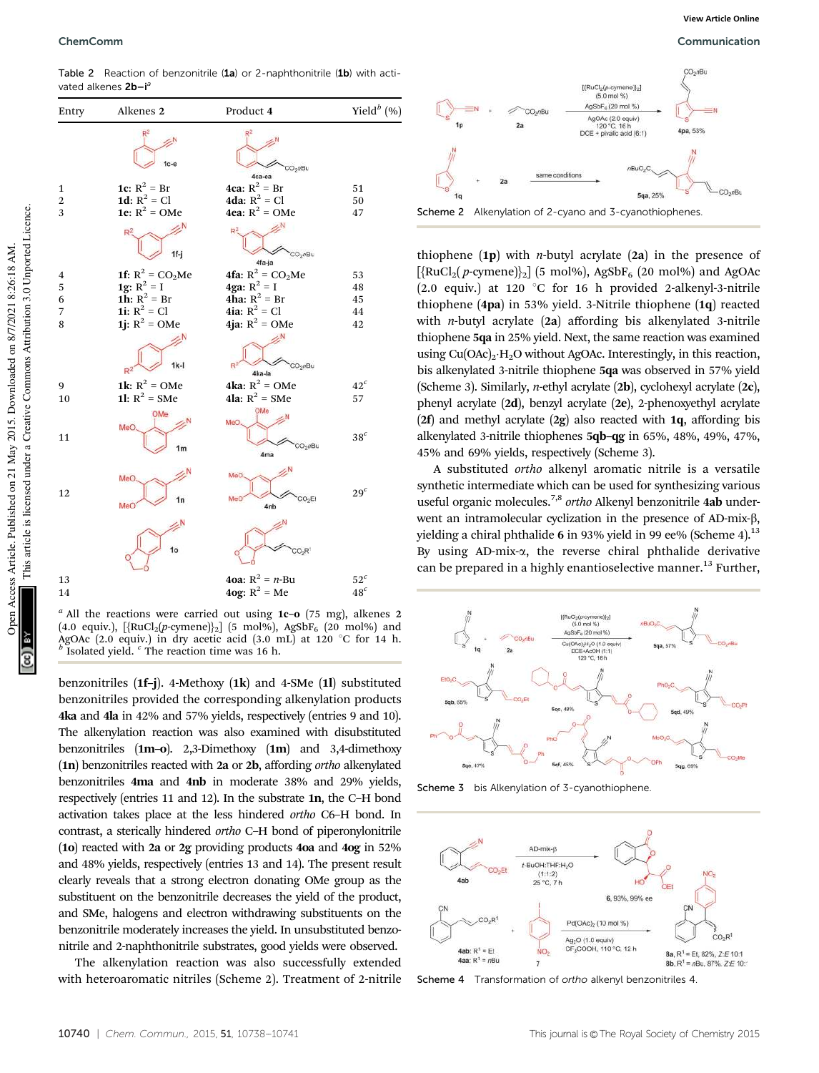Table 2 Reaction of benzonitrile (1a) or 2-naphthonitrile (1b) with activated alkenes  $2b-i<sup>2</sup>$ 



*a* All the reactions were carried out using 1c–o (75 mg), alkenes 2 (4.0 equiv.),  $[\{RuCl_2(p\text{-cymene})\}_2]$  (5 mol%), AgSbF<sub>6</sub> (20 mol%) and AgOAc (2.0 equiv.) in dry acetic acid  $(3.0 \text{ mL})$  at 120 °C for 14 h. Isolated yield. *<sup>c</sup>* The reaction time was 16 h.

benzonitriles (1f–j). 4-Methoxy (1k) and 4-SMe (1l) substituted benzonitriles provided the corresponding alkenylation products 4ka and 4la in 42% and 57% yields, respectively (entries 9 and 10). The alkenylation reaction was also examined with disubstituted benzonitriles (1m–o). 2,3-Dimethoxy (1m) and 3,4-dimethoxy (1n) benzonitriles reacted with 2a or 2b, affording *ortho* alkenylated benzonitriles 4ma and 4nb in moderate 38% and 29% yields, respectively (entries 11 and 12). In the substrate 1n, the C–H bond activation takes place at the less hindered *ortho* C6–H bond. In contrast, a sterically hindered *ortho* C–H bond of piperonylonitrile (1o) reacted with 2a or 2g providing products 4oa and 4og in 52% and 48% yields, respectively (entries 13 and 14). The present result clearly reveals that a strong electron donating OMe group as the substituent on the benzonitrile decreases the yield of the product, and SMe, halogens and electron withdrawing substituents on the benzonitrile moderately increases the yield. In unsubstituted benzonitrile and 2-naphthonitrile substrates, good yields were observed.

The alkenylation reaction was also successfully extended with heteroaromatic nitriles (Scheme 2). Treatment of 2-nitrile



thiophene  $(p)$  with *n*-butyl acrylate  $(2a)$  in the presence of  $[\text{RuCl}_2(p\text{-cymene})]_2]$  (5 mol%), AgSbF<sub>6</sub> (20 mol%) and AgOAc (2.0 equiv.) at 120  $^{\circ}$ C for 16 h provided 2-alkenyl-3-nitrile thiophene (4pa) in 53% yield. 3-Nitrile thiophene (1q) reacted with *n*-butyl acrylate (2a) affording bis alkenylated 3-nitrile thiophene 5qa in 25% yield. Next, the same reaction was examined using Cu(OAc)<sub>2</sub>·H<sub>2</sub>O without AgOAc. Interestingly, in this reaction, bis alkenylated 3-nitrile thiophene 5qa was observed in 57% yield (Scheme 3). Similarly, *n*-ethyl acrylate (2b), cyclohexyl acrylate (2c), phenyl acrylate (2d), benzyl acrylate (2e), 2-phenoxyethyl acrylate ( $2f$ ) and methyl acrylate ( $2g$ ) also reacted with  $1q$ , affording bis alkenylated 3-nitrile thiophenes 5qb–qg in 65%, 48%, 49%, 47%, 45% and 69% yields, respectively (Scheme 3).

A substituted *ortho* alkenyl aromatic nitrile is a versatile synthetic intermediate which can be used for synthesizing various useful organic molecules.7,8 *ortho* Alkenyl benzonitrile 4ab underwent an intramolecular cyclization in the presence of AD-mix- $\beta$ , yielding a chiral phthalide 6 in 93% yield in 99 ee% (Scheme 4).<sup>13</sup> By using AD-mix- $\alpha$ , the reverse chiral phthalide derivative can be prepared in a highly enantioselective manner.<sup>13</sup> Further,



Scheme 3 bis Alkenylation of 3-cyanothiophene



Scheme 4 Transformation of ortho alkenyl benzonitriles 4.